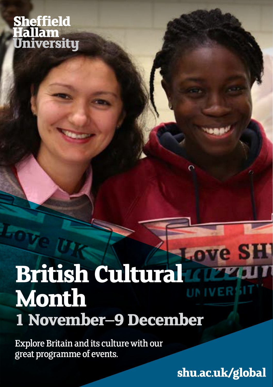# **Sheffield Hallam** University

# **British Cultural** *Love* **SH Month 1 November–9 December**

Explore Britain and its culture with our great programme of events.

**[shu.ac.uk/global](http://shu.ac.uk/global)**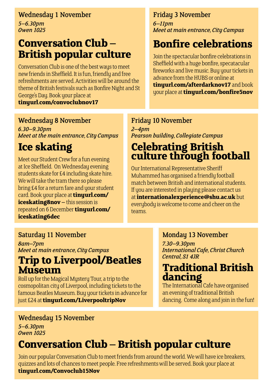#### Wednesday 1 November

*5–6.30pm Owen 1025*

# **Conversation Club – British popular culture**

Conversation Club is one of the best ways to meet new friends in Sheffield. It is fun, friendly and free refreshments are served. Activities will be around the theme of British festivals such as Bonfire Night and St George's Day. Book your place at **[tinyurl.com/convoclubnov17](http://tinyurl.com/convoclubnov17)**

#### Wednesday 8 November

*6.30–9.30pm Meet at the main entrance, City Campus*

# **Ice skating**

Meet our Student Crew for a fun evening at Ice Sheffield. On Wednesday evening students skate for £4 including skate hire. We will take the tram there so please bring £4 for a return fare and your student card. Book your place at **[tinyurl.com/](http://tinyurl.com/iceskating8nov) [iceskating8nov](http://tinyurl.com/iceskating8nov) –** this session is repeated on 6 December**[tinyurl.com/](http://tinyurl.com/iceskating6dec) [iceskating6dec](http://tinyurl.com/iceskating6dec)**

#### Friday 3 November

*6–11pm Meet at main entrance, City Campus*

# **Bonfire celebrations**

Join the spectacular bonfire celebrations in Sheffield with a huge bonfire, specatacular fireworks and live music. Buy your tickets in advance from the HUBS or online at **[tinyurl.com/afterdarknov17](http://tinyurl.com/afterdarknov17)** and book your place at **[tinyurl.com/bonfire5nov](http://tinyurl.com/bonfire5nov)**

#### Friday 10 November

*2–4pm Pearson building, Collegiate Campus*

## **Celebrating British culture through football**

Our International Representative Sheriff Muhammed has organised a friendly football match between British and international students. If you are interested in playing please contact us at **[internationalexperience@shu.ac.uk](mailto:internationalexperience%40shu.ac.uk?subject=Celebrating%20British%20culture%20through%20football%20event)** but everybody is welcome to come and cheer on the teams.

#### Saturday 11 November

*8am–7pm Meet at main entrance, City Campus* 

## **Trip to Liverpool/Beatles Museum**

Roll up for the Magical Mystery Tour, a trip to the cosmopolitan city of Liverpool, including tickets to the famous Beatles Museum. Buy your tickets in advance for just £24 at **[tinyurl.com/LiverpooltripNov](http://tinyurl.com/LiverpooltripNov)**

#### Monday 13 November

*7.30–9.30pm International Cafe, Christ Church Central, S1 4JR*

## **Traditional British dancing**

The International Cafe have organised an evening of traditional British dancing. Come along and join in the fun!

#### Wednesday 15 November

*5–6.30pm Owen 1025*

# **Conversation Club – British popular culture**

Join our popular Conversation Club to meet friends from around the world. We will have ice breakers, quizzes and lots of chances to meet people. Free refreshments will be served. Book your place at **[tinyurl.com/Convoclub15Nov](http://tinyurl.com/Convoclub15Nov)**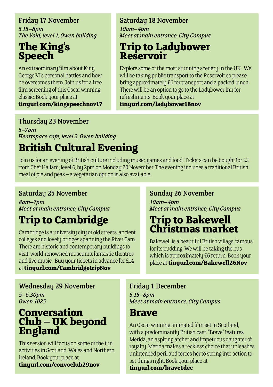#### Friday 17 November

*5.15–8pm The Void, level 1, Owen building*

## **The King's Speech**

An extraordinary film about King George VI's personal battles and how he overcomes them. Join us for a free film screening of this Oscar winning classic. Book your place at

**[tinyurl.com/kingspeechnov17](http://tinyurl.com/kingspeechnov17)**

#### Saturday 18 November

*10am–4pm Meet at main entrance, City Campus*

## **Trip to Ladybower Reservoir**

Explore some of the most stunning scenery in the UK. We will be taking public transport to the Reservoir so please bring approximately £6 for transport and a packed lunch. There will be an option to go to the Ladybower Inn for refreshments. Book your place at

#### **[tinyurl.com/ladybower18nov](http://tinyurl.com/ladybower18nov)**

#### Thursday 23 November

*5–7pm Heartspace cafe, level 2, Owen building*

# **British Cultural Evening**

Join us for an evening of British culture including music, games and food. Tickets can be bought for £2 from Chef Hallam, level 6, by 2pm on Monday 20 November. The evening includes a traditional British meal of pie and peas – a vegetarian option is also available.

#### Saturday 25 November

*8am–7pm Meet at main entrance, City Campus*

# **Trip to Cambridge**

Cambridge is a university city of old streets, ancient colleges and lovely bridges spanning the River Cam. There are historic and contemporary buildings to visit, world-renowned museums, fantastic theatres and live music. Buy your tickets in advance for £14 at **[tinyurl.com/CambridgetripNov](http://tinyurl.com/CambridgetripNov)**

#### Sunday 26 November

*10am–4pm Meet at main entrance, City Campus*

## **Trip to Bakewell Christmas market**

Bakewell is a beautiful British village, famous for its pudding. We will be taking the bus which is approximately £6 return. Book your place at **[tinyurl.com/Bakewell26Nov](http://tinyurl.com/Bakewell26Nov)**

#### Wednesday 29 November

*5–6.30pm Owen 1025*

### **Conversation Club – UK beyond England**

This session will focus on some of the fun activities in Scotland, Wales and Northern Ireland. Book your place at **[tinyurl.com/convoclub29nov](http://tinyurl.com/convoclub29nov)**

#### Friday 1 December

*5.15–8pm Meet at main entrance, City Campus*

## **Brave**

An Oscar winning animated film set in Scotland, with a predominantly British cast. "Brave" features Merida, an aspiring archer and impetuous daughter of royalty. Merida makes a reckless choice that unleashes unintended peril and forces her to spring into action to set things right. Book your place at

**[tinyurl.com/brave1dec](http://tinyurl.com/brave1dec)**